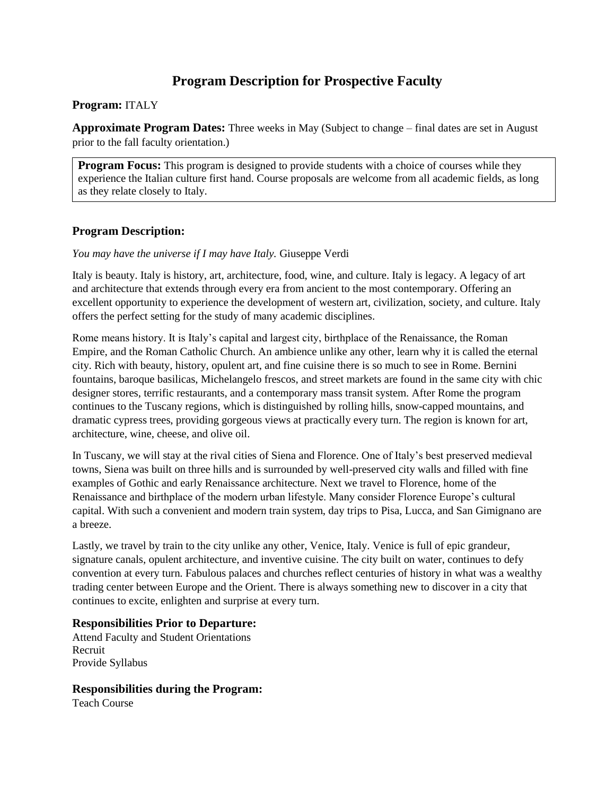# **Program Description for Prospective Faculty**

#### **Program:** ITALY

**Approximate Program Dates:** Three weeks in May (Subject to change – final dates are set in August prior to the fall faculty orientation.)

**Program Focus:** This program is designed to provide students with a choice of courses while they experience the Italian culture first hand. Course proposals are welcome from all academic fields, as long as they relate closely to Italy.

### **Program Description:**

*You may have the universe if I may have Italy.* Giuseppe Verdi

Italy is beauty. Italy is history, art, architecture, food, wine, and culture. Italy is legacy. A legacy of art and architecture that extends through every era from ancient to the most contemporary. Offering an excellent opportunity to experience the development of western art, civilization, society, and culture. Italy offers the perfect setting for the study of many academic disciplines.

Rome means history. It is Italy's capital and largest city, birthplace of the Renaissance, the Roman Empire, and the Roman Catholic Church. An ambience unlike any other, learn why it is called the eternal city. Rich with beauty, history, opulent art, and fine cuisine there is so much to see in Rome. Bernini fountains, baroque basilicas, Michelangelo frescos, and street markets are found in the same city with chic designer stores, terrific restaurants, and a contemporary mass transit system. After Rome the program continues to the Tuscany regions, which is distinguished by rolling hills, snow-capped mountains, and dramatic cypress trees, providing gorgeous views at practically every turn. The region is known for art, architecture, wine, cheese, and olive oil.

In Tuscany, we will stay at the rival cities of Siena and Florence. One of Italy's best preserved medieval towns, Siena was built on three hills and is surrounded by well-preserved city walls and filled with fine examples of Gothic and early Renaissance architecture. Next we travel to Florence, home of the Renaissance and birthplace of the modern urban lifestyle. Many consider Florence Europe's cultural capital. With such a convenient and modern train system, day trips to Pisa, Lucca, and San Gimignano are a breeze.

Lastly, we travel by train to the city unlike any other, Venice, Italy. Venice is full of epic grandeur, signature canals, opulent architecture, and inventive cuisine. The city built on water, continues to defy convention at every turn. Fabulous palaces and churches reflect centuries of history in what was a wealthy trading center between Europe and the Orient. There is always something new to discover in a city that continues to excite, enlighten and surprise at every turn.

### **Responsibilities Prior to Departure:**

Attend Faculty and Student Orientations Recruit Provide Syllabus

### **Responsibilities during the Program:**

Teach Course